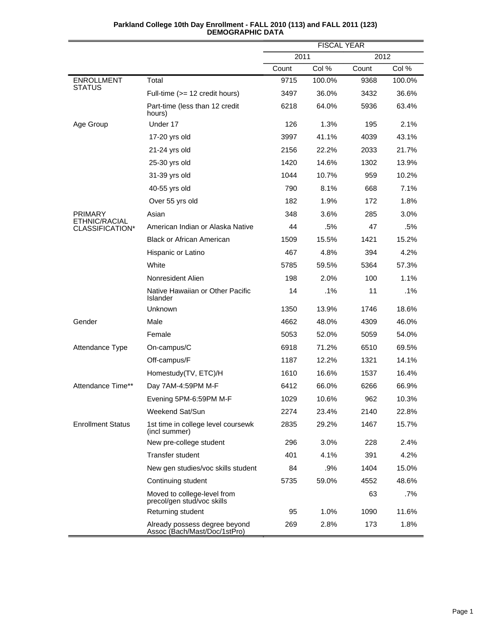|                                    |                                                               | <b>FISCAL YEAR</b> |        |       |        |
|------------------------------------|---------------------------------------------------------------|--------------------|--------|-------|--------|
|                                    |                                                               | 2011               |        | 2012  |        |
|                                    |                                                               | Count              | Col %  | Count | Col %  |
| <b>ENROLLMENT</b><br><b>STATUS</b> | Total                                                         | 9715               | 100.0% | 9368  | 100.0% |
|                                    | Full-time (>= 12 credit hours)                                | 3497               | 36.0%  | 3432  | 36.6%  |
|                                    | Part-time (less than 12 credit<br>hours)                      | 6218               | 64.0%  | 5936  | 63.4%  |
| Age Group                          | Under 17                                                      | 126                | 1.3%   | 195   | 2.1%   |
|                                    | 17-20 yrs old                                                 | 3997               | 41.1%  | 4039  | 43.1%  |
|                                    | 21-24 yrs old                                                 | 2156               | 22.2%  | 2033  | 21.7%  |
|                                    | 25-30 yrs old                                                 | 1420               | 14.6%  | 1302  | 13.9%  |
|                                    | 31-39 yrs old                                                 | 1044               | 10.7%  | 959   | 10.2%  |
|                                    | 40-55 yrs old                                                 | 790                | 8.1%   | 668   | 7.1%   |
|                                    | Over 55 yrs old                                               | 182                | 1.9%   | 172   | 1.8%   |
| <b>PRIMARY</b>                     | Asian                                                         | 348                | 3.6%   | 285   | 3.0%   |
| ETHNIC/RACIAL<br>CLASSIFICATION*   | American Indian or Alaska Native                              | 44                 | .5%    | 47    | .5%    |
|                                    | <b>Black or African American</b>                              | 1509               | 15.5%  | 1421  | 15.2%  |
|                                    | Hispanic or Latino                                            | 467                | 4.8%   | 394   | 4.2%   |
|                                    | White                                                         | 5785               | 59.5%  | 5364  | 57.3%  |
|                                    | Nonresident Alien                                             | 198                | 2.0%   | 100   | 1.1%   |
|                                    | Native Hawaiian or Other Pacific<br>Islander                  | 14                 | .1%    | 11    | .1%    |
|                                    | Unknown                                                       | 1350               | 13.9%  | 1746  | 18.6%  |
| Gender                             | Male                                                          | 4662               | 48.0%  | 4309  | 46.0%  |
|                                    | Female                                                        | 5053               | 52.0%  | 5059  | 54.0%  |
| Attendance Type                    | On-campus/C                                                   | 6918               | 71.2%  | 6510  | 69.5%  |
|                                    | Off-campus/F                                                  | 1187               | 12.2%  | 1321  | 14.1%  |
|                                    | Homestudy(TV, ETC)/H                                          | 1610               | 16.6%  | 1537  | 16.4%  |
| Attendance Time**                  | Day 7AM-4:59PM M-F                                            | 6412               | 66.0%  | 6266  | 66.9%  |
|                                    | Evening 5PM-6:59PM M-F                                        | 1029               | 10.6%  | 962   | 10.3%  |
|                                    | Weekend Sat/Sun                                               | 2274               | 23.4%  | 2140  | 22.8%  |
| <b>Enrollment Status</b>           | 1st time in college level coursewk<br>(incl summer)           | 2835               | 29.2%  | 1467  | 15.7%  |
|                                    | New pre-college student                                       | 296                | 3.0%   | 228   | 2.4%   |
|                                    | Transfer student                                              | 401                | 4.1%   | 391   | 4.2%   |
|                                    | New gen studies/voc skills student                            | 84                 | .9%    | 1404  | 15.0%  |
|                                    | Continuing student                                            | 5735               | 59.0%  | 4552  | 48.6%  |
|                                    | Moved to college-level from<br>precol/gen stud/voc skills     |                    |        | 63    | $.7\%$ |
|                                    | Returning student                                             | 95                 | 1.0%   | 1090  | 11.6%  |
|                                    | Already possess degree beyond<br>Assoc (Bach/Mast/Doc/1stPro) | 269                | 2.8%   | 173   | 1.8%   |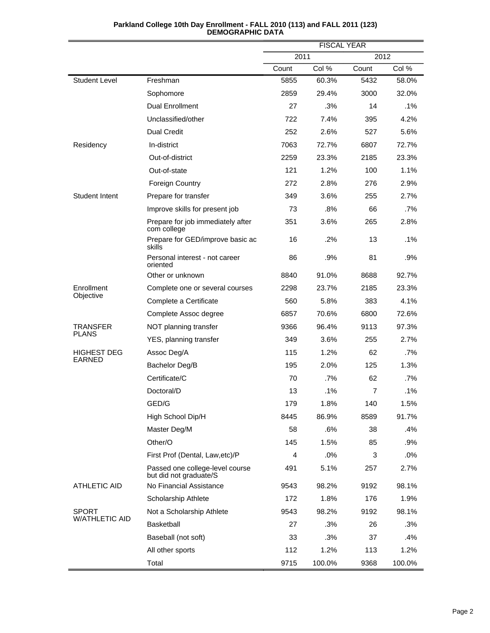|                                     |                                                           | <b>FISCAL YEAR</b> |        |       |        |  |
|-------------------------------------|-----------------------------------------------------------|--------------------|--------|-------|--------|--|
|                                     |                                                           | 2011               |        |       | 2012   |  |
|                                     |                                                           | Count              | Col %  | Count | Col %  |  |
| Student Level                       | Freshman                                                  | 5855               | 60.3%  | 5432  | 58.0%  |  |
|                                     | Sophomore                                                 | 2859               | 29.4%  | 3000  | 32.0%  |  |
|                                     | <b>Dual Enrollment</b>                                    | 27                 | .3%    | 14    | .1%    |  |
|                                     | Unclassified/other                                        | 722                | 7.4%   | 395   | 4.2%   |  |
|                                     | <b>Dual Credit</b>                                        | 252                | 2.6%   | 527   | 5.6%   |  |
| Residency                           | In-district                                               | 7063               | 72.7%  | 6807  | 72.7%  |  |
|                                     | Out-of-district                                           | 2259               | 23.3%  | 2185  | 23.3%  |  |
|                                     | Out-of-state                                              | 121                | 1.2%   | 100   | 1.1%   |  |
|                                     | Foreign Country                                           | 272                | 2.8%   | 276   | 2.9%   |  |
| <b>Student Intent</b>               | Prepare for transfer                                      | 349                | 3.6%   | 255   | 2.7%   |  |
|                                     | Improve skills for present job                            | 73                 | .8%    | 66    | .7%    |  |
|                                     | Prepare for job immediately after<br>com college          | 351                | 3.6%   | 265   | 2.8%   |  |
|                                     | Prepare for GED/improve basic ac<br>skills                | 16                 | .2%    | 13    | .1%    |  |
|                                     | Personal interest - not career<br>oriented                | 86                 | .9%    | 81    | .9%    |  |
|                                     | Other or unknown                                          | 8840               | 91.0%  | 8688  | 92.7%  |  |
| Enrollment<br>Objective             | Complete one or several courses                           | 2298               | 23.7%  | 2185  | 23.3%  |  |
|                                     | Complete a Certificate                                    | 560                | 5.8%   | 383   | 4.1%   |  |
|                                     | Complete Assoc degree                                     | 6857               | 70.6%  | 6800  | 72.6%  |  |
| TRANSFER<br><b>PLANS</b>            | NOT planning transfer                                     | 9366               | 96.4%  | 9113  | 97.3%  |  |
|                                     | YES, planning transfer                                    | 349                | 3.6%   | 255   | 2.7%   |  |
| <b>HIGHEST DEG</b><br><b>EARNED</b> | Assoc Deg/A                                               | 115                | 1.2%   | 62    | .7%    |  |
|                                     | Bachelor Deg/B                                            | 195                | 2.0%   | 125   | 1.3%   |  |
|                                     | Certificate/C                                             | 70                 | .7%    | 62    | .7%    |  |
|                                     | Doctoral/D                                                | 13                 | .1%    | 7     | .1%    |  |
|                                     | GED/G                                                     | 179                | 1.8%   | 140   | 1.5%   |  |
|                                     | High School Dip/H                                         | 8445               | 86.9%  | 8589  | 91.7%  |  |
|                                     | Master Deg/M                                              | 58                 | .6%    | 38    | .4%    |  |
|                                     | Other/O                                                   | 145                | 1.5%   | 85    | .9%    |  |
|                                     | First Prof (Dental, Law, etc)/P                           | 4                  | $.0\%$ | 3     | $.0\%$ |  |
|                                     | Passed one college-level course<br>but did not graduate/S | 491                | 5.1%   | 257   | 2.7%   |  |
| <b>ATHLETIC AID</b>                 | No Financial Assistance                                   | 9543               | 98.2%  | 9192  | 98.1%  |  |
|                                     | Scholarship Athlete                                       | 172                | 1.8%   | 176   | 1.9%   |  |
| <b>SPORT</b>                        | Not a Scholarship Athlete                                 | 9543               | 98.2%  | 9192  | 98.1%  |  |
| W/ATHLETIC AID                      | <b>Basketball</b>                                         | 27                 | .3%    | 26    | .3%    |  |
|                                     | Baseball (not soft)                                       | 33                 | .3%    | 37    | .4%    |  |
|                                     | All other sports                                          | 112                | 1.2%   | 113   | 1.2%   |  |
|                                     | Total                                                     | 9715               | 100.0% | 9368  | 100.0% |  |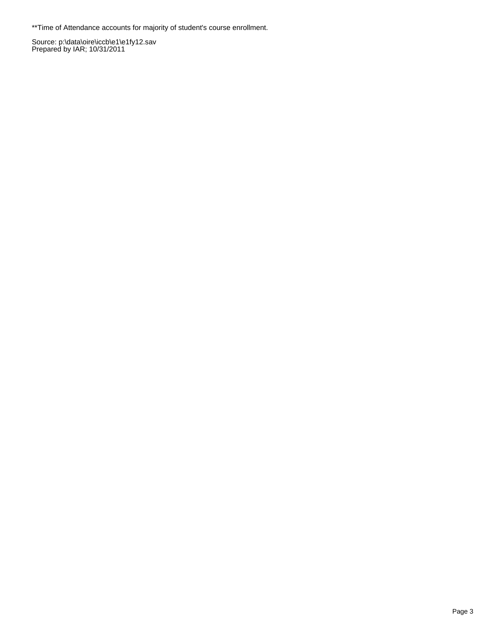\*\*Time of Attendance accounts for majority of student's course enrollment.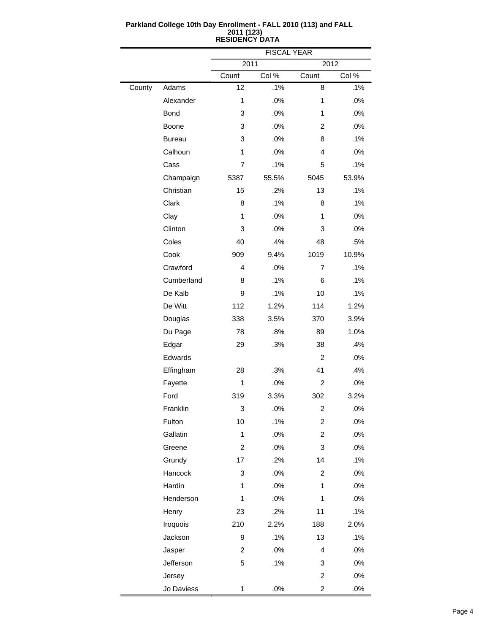|        |               | <b>FISCAL YEAR</b> |       |                         |       |  |
|--------|---------------|--------------------|-------|-------------------------|-------|--|
|        |               | 2011               |       | 2012                    |       |  |
|        |               | Count              | Col % | Count                   | Col % |  |
| County | Adams         | 12                 | .1%   | 8                       | .1%   |  |
|        | Alexander     | $\mathbf{1}$       | .0%   | 1                       | .0%   |  |
|        | <b>Bond</b>   | 3                  | .0%   | 1                       | .0%   |  |
|        | Boone         | 3                  | .0%   | 2                       | .0%   |  |
|        | <b>Bureau</b> | 3                  | .0%   | 8                       | .1%   |  |
|        | Calhoun       | $\mathbf{1}$       | .0%   | 4                       | .0%   |  |
|        | Cass          | 7                  | .1%   | 5                       | .1%   |  |
|        | Champaign     | 5387               | 55.5% | 5045                    | 53.9% |  |
|        | Christian     | 15                 | .2%   | 13                      | .1%   |  |
|        | Clark         | 8                  | .1%   | 8                       | .1%   |  |
|        | Clay          | 1                  | .0%   | 1                       | .0%   |  |
|        | Clinton       | 3                  | .0%   | 3                       | .0%   |  |
|        | Coles         | 40                 | .4%   | 48                      | .5%   |  |
|        | Cook          | 909                | 9.4%  | 1019                    | 10.9% |  |
|        | Crawford      | 4                  | .0%   | 7                       | .1%   |  |
|        | Cumberland    | 8                  | .1%   | 6                       | .1%   |  |
|        | De Kalb       | 9                  | .1%   | 10                      | .1%   |  |
|        | De Witt       | 112                | 1.2%  | 114                     | 1.2%  |  |
|        | Douglas       | 338                | 3.5%  | 370                     | 3.9%  |  |
|        | Du Page       | 78                 | .8%   | 89                      | 1.0%  |  |
|        | Edgar         | 29                 | .3%   | 38                      | .4%   |  |
|        | Edwards       |                    |       | $\overline{2}$          | .0%   |  |
|        | Effingham     | 28                 | .3%   | 41                      | .4%   |  |
|        | Fayette       | 1                  | .0%   | 2                       | .0%   |  |
|        | Ford          | 319                | 3.3%  | 302                     | 3.2%  |  |
|        | Franklin      | 3                  | .0%   | 2                       | .0%   |  |
|        | Fulton        | 10                 | .1%   | $\overline{\mathbf{c}}$ | .0%   |  |
|        | Gallatin      | $\mathbf{1}$       | .0%   | $\overline{c}$          | .0%   |  |
|        | Greene        | $\overline{c}$     | .0%   | 3                       | .0%   |  |
|        | Grundy        | 17                 | .2%   | 14                      | .1%   |  |
|        | Hancock       | 3                  | .0%   | $\overline{c}$          | .0%   |  |
|        | Hardin        | 1                  | .0%   | 1                       | .0%   |  |
|        | Henderson     | 1                  | .0%   | $\mathbf{1}$            | .0%   |  |
|        | Henry         | 23                 | .2%   | 11                      | .1%   |  |
|        | Iroquois      | 210                | 2.2%  | 188                     | 2.0%  |  |
|        | Jackson       | 9                  | .1%   | 13                      | .1%   |  |
|        | Jasper        | 2                  | .0%   | 4                       | .0%   |  |
|        | Jefferson     | 5                  | .1%   | 3                       | .0%   |  |
|        | Jersey        |                    |       | $\overline{\mathbf{c}}$ | .0%   |  |
|        | Jo Daviess    | $\mathbf{1}$       | .0%   | $\overline{\mathbf{c}}$ | .0%   |  |

 $\equiv$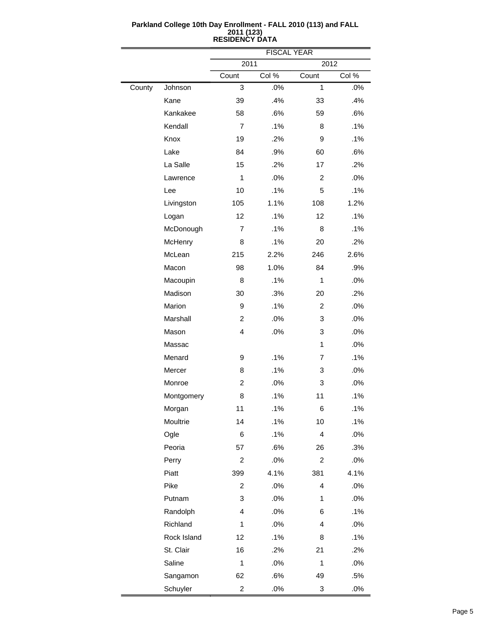|        |             | <b>FISCAL YEAR</b> |       |                |       |  |
|--------|-------------|--------------------|-------|----------------|-------|--|
|        |             | 2011               |       | 2012           |       |  |
|        |             | Count              | Col % | Count          | Col % |  |
| County | Johnson     | 3                  | .0%   | 1              | .0%   |  |
|        | Kane        | 39                 | .4%   | 33             | .4%   |  |
|        | Kankakee    | 58                 | .6%   | 59             | .6%   |  |
|        | Kendall     | $\overline{7}$     | .1%   | 8              | .1%   |  |
|        | Knox        | 19                 | .2%   | 9              | .1%   |  |
|        | Lake        | 84                 | .9%   | 60             | .6%   |  |
|        | La Salle    | 15                 | .2%   | 17             | .2%   |  |
|        | Lawrence    | 1                  | .0%   | 2              | .0%   |  |
|        | Lee         | 10                 | .1%   | 5              | .1%   |  |
|        | Livingston  | 105                | 1.1%  | 108            | 1.2%  |  |
|        | Logan       | 12                 | .1%   | 12             | .1%   |  |
|        | McDonough   | $\overline{7}$     | .1%   | 8              | .1%   |  |
|        | McHenry     | 8                  | .1%   | 20             | .2%   |  |
|        | McLean      | 215                | 2.2%  | 246            | 2.6%  |  |
|        | Macon       | 98                 | 1.0%  | 84             | .9%   |  |
|        | Macoupin    | 8                  | .1%   | $\mathbf{1}$   | .0%   |  |
|        | Madison     | 30                 | .3%   | 20             | .2%   |  |
|        | Marion      | 9                  | .1%   | $\overline{c}$ | .0%   |  |
|        | Marshall    | $\overline{c}$     | .0%   | 3              | .0%   |  |
|        | Mason       | 4                  | .0%   | 3              | .0%   |  |
|        | Massac      |                    |       | $\mathbf{1}$   | .0%   |  |
|        | Menard      | 9                  | .1%   | 7              | .1%   |  |
|        | Mercer      | 8                  | .1%   | 3              | .0%   |  |
|        | Monroe      | $\overline{c}$     | .0%   | 3              | .0%   |  |
|        | Montgomery  | 8                  | .1%   | 11             | .1%   |  |
|        | Morgan      | 11                 | .1%   | 6              | .1%   |  |
|        | Moultrie    | 14                 | .1%   | 10             | .1%   |  |
|        | Ogle        | 6                  | .1%   | 4              | .0%   |  |
|        | Peoria      | 57                 | .6%   | 26             | .3%   |  |
|        | Perry       | 2                  | .0%   | $\overline{c}$ | .0%   |  |
|        | Piatt       | 399                | 4.1%  | 381            | 4.1%  |  |
|        | Pike        | 2                  | .0%   | 4              | .0%   |  |
|        | Putnam      | 3                  | .0%   | 1              | .0%   |  |
|        | Randolph    | 4                  | .0%   | 6              | .1%   |  |
|        | Richland    | 1                  | .0%   | 4              | .0%   |  |
|        | Rock Island | 12                 | .1%   | 8              | .1%   |  |
|        | St. Clair   | 16                 | .2%   | 21             | .2%   |  |
|        | Saline      | 1                  | .0%   | $\mathbf{1}$   | .0%   |  |
|        | Sangamon    | 62                 | .6%   | 49             | .5%   |  |
|        | Schuyler    | $\overline{c}$     | .0%   | 3              | .0%   |  |

L,

 $\qquad \qquad =$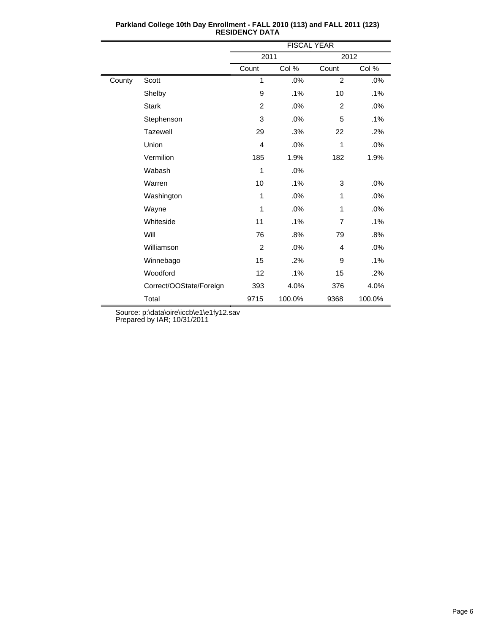|        |                         | <b>FISCAL YEAR</b> |        |                |        |
|--------|-------------------------|--------------------|--------|----------------|--------|
|        |                         | 2011               |        | 2012           |        |
|        |                         | Count              | Col %  | Count          | Col %  |
| County | Scott                   | 1                  | .0%    | $\overline{2}$ | .0%    |
|        | Shelby                  | 9                  | .1%    | 10             | $.1\%$ |
|        | <b>Stark</b>            | $\overline{2}$     | .0%    | 2              | $.0\%$ |
|        | Stephenson              | 3                  | .0%    | 5              | .1%    |
|        | <b>Tazewell</b>         | 29                 | .3%    | 22             | .2%    |
|        | Union                   | $\overline{4}$     | .0%    | 1              | .0%    |
|        | Vermilion               | 185                | 1.9%   | 182            | 1.9%   |
|        | Wabash                  | 1                  | .0%    |                |        |
|        | Warren                  | 10                 | .1%    | 3              | .0%    |
|        | Washington              | 1                  | .0%    | 1              | .0%    |
|        | Wayne                   | 1                  | .0%    | 1              | .0%    |
|        | Whiteside               | 11                 | .1%    | 7              | $.1\%$ |
|        | Will                    | 76                 | .8%    | 79             | .8%    |
|        | Williamson              | 2                  | .0%    | 4              | .0%    |
|        | Winnebago               | 15                 | .2%    | 9              | $.1\%$ |
|        | Woodford                | 12                 | .1%    | 15             | .2%    |
|        | Correct/OOState/Foreign | 393                | 4.0%   | 376            | 4.0%   |
|        | Total                   | 9715               | 100.0% | 9368           | 100.0% |

**Parkland College 10th Day Enrollment - FALL 2010 (113) and FALL 2011 (123) RESIDENCY DATA**

Source: p:\data\oire\iccb\e1\e1fy12.sav

Prepared by IAR; 10/31/2011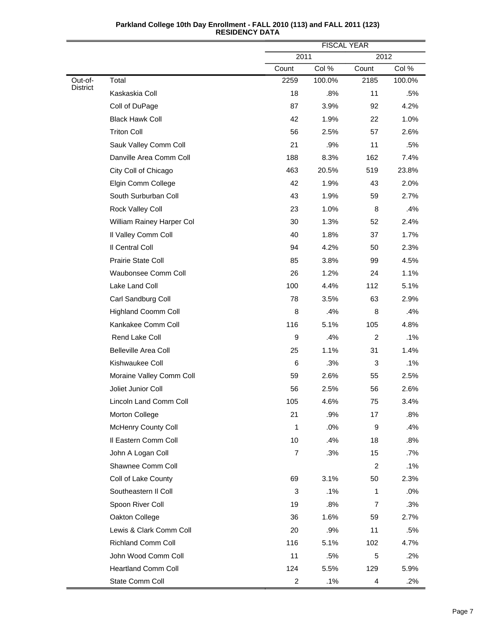|                     |                             |                  | <b>FISCAL YEAR</b> |                |        |  |
|---------------------|-----------------------------|------------------|--------------------|----------------|--------|--|
|                     |                             | 2011             |                    | 2012           |        |  |
|                     |                             | Count            | Col %              | Count          | Col %  |  |
| Out-of-<br>District | Total                       | 2259             | 100.0%             | 2185           | 100.0% |  |
|                     | Kaskaskia Coll              | 18               | .8%                | 11             | .5%    |  |
|                     | Coll of DuPage              | 87               | 3.9%               | 92             | 4.2%   |  |
|                     | <b>Black Hawk Coll</b>      | 42               | 1.9%               | 22             | 1.0%   |  |
|                     | <b>Triton Coll</b>          | 56               | 2.5%               | 57             | 2.6%   |  |
|                     | Sauk Valley Comm Coll       | 21               | .9%                | 11             | .5%    |  |
|                     | Danville Area Comm Coll     | 188              | 8.3%               | 162            | 7.4%   |  |
|                     | City Coll of Chicago        | 463              | 20.5%              | 519            | 23.8%  |  |
|                     | Elgin Comm College          | 42               | 1.9%               | 43             | 2.0%   |  |
|                     | South Surburban Coll        | 43               | 1.9%               | 59             | 2.7%   |  |
|                     | Rock Valley Coll            | 23               | 1.0%               | 8              | .4%    |  |
|                     | William Rainey Harper Col   | 30               | 1.3%               | 52             | 2.4%   |  |
|                     | Il Valley Comm Coll         | 40               | 1.8%               | 37             | 1.7%   |  |
|                     | Il Central Coll             | 94               | 4.2%               | 50             | 2.3%   |  |
|                     | Prairie State Coll          | 85               | 3.8%               | 99             | 4.5%   |  |
|                     | Waubonsee Comm Coll         | 26               | 1.2%               | 24             | 1.1%   |  |
|                     | Lake Land Coll              | 100              | 4.4%               | 112            | 5.1%   |  |
|                     | Carl Sandburg Coll          | 78               | 3.5%               | 63             | 2.9%   |  |
|                     | <b>Highland Coomm Coll</b>  | 8                | .4%                | 8              | .4%    |  |
|                     | Kankakee Comm Coll          | 116              | 5.1%               | 105            | 4.8%   |  |
|                     | Rend Lake Coll              | 9                | .4%                | $\overline{c}$ | .1%    |  |
|                     | <b>Belleville Area Coll</b> | 25               | 1.1%               | 31             | 1.4%   |  |
|                     | Kishwaukee Coll             | 6                | .3%                | 3              | .1%    |  |
|                     | Moraine Valley Comm Coll    | 59               | 2.6%               | 55             | 2.5%   |  |
|                     | Joliet Junior Coll          | 56               | 2.5%               | 56             | 2.6%   |  |
|                     | Lincoln Land Comm Coll      | 105              | 4.6%               | 75             | 3.4%   |  |
|                     | Morton College              | 21               | .9%                | 17             | .8%    |  |
|                     | <b>McHenry County Coll</b>  | $\mathbf{1}$     | .0%                | 9              | .4%    |  |
|                     | Il Eastern Comm Coll        | 10               | .4%                | 18             | .8%    |  |
|                     | John A Logan Coll           | $\boldsymbol{7}$ | .3%                | 15             | .7%    |  |
|                     | Shawnee Comm Coll           |                  |                    | $\overline{c}$ | .1%    |  |
|                     | Coll of Lake County         | 69               | 3.1%               | 50             | 2.3%   |  |
|                     | Southeastern II Coll        | 3                | .1%                | $\mathbf{1}$   | .0%    |  |
|                     | Spoon River Coll            | 19               | .8%                | $\overline{7}$ | .3%    |  |
|                     | Oakton College              | 36               | 1.6%               | 59             | 2.7%   |  |
|                     | Lewis & Clark Comm Coll     | 20               | .9%                | 11             | .5%    |  |
|                     | Richland Comm Coll          | 116              | 5.1%               | 102            | 4.7%   |  |
|                     | John Wood Comm Coll         | 11               | .5%                | 5              | .2%    |  |
|                     | <b>Heartland Comm Coll</b>  | 124              | 5.5%               | 129            | 5.9%   |  |
|                     | State Comm Coll             | $\overline{c}$   | .1%                | 4              | .2%    |  |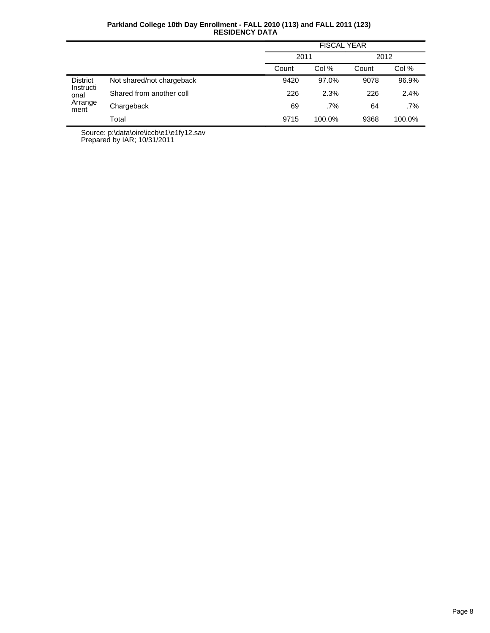|                                      |                           | <b>FISCAL YEAR</b> |        |       |        |  |
|--------------------------------------|---------------------------|--------------------|--------|-------|--------|--|
|                                      |                           | 2011               |        | 2012  |        |  |
|                                      |                           | Count              | Col %  | Count | Col %  |  |
| <b>District</b><br>Instructi<br>onal | Not shared/not chargeback | 9420               | 97.0%  | 9078  | 96.9%  |  |
|                                      | Shared from another coll  | 226                | 2.3%   | 226   | 2.4%   |  |
| Arrange<br>ment                      | Chargeback                | 69                 | .7%    | 64    | .7%    |  |
|                                      | Total                     | 9715               | 100.0% | 9368  | 100.0% |  |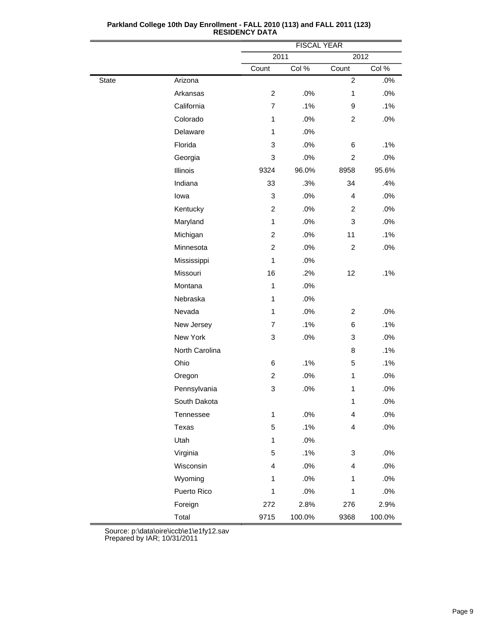|              |                | <b>FISCAL YEAR</b>      |        |                         |        |
|--------------|----------------|-------------------------|--------|-------------------------|--------|
|              |                | 2011                    |        | 2012                    |        |
|              |                | Count                   | Col %  | Count                   | Col %  |
| <b>State</b> | Arizona        |                         |        | $\overline{2}$          | .0%    |
|              | Arkansas       | $\overline{c}$          | .0%    | $\mathbf{1}$            | .0%    |
|              | California     | $\overline{7}$          | .1%    | 9                       | .1%    |
|              | Colorado       | 1                       | .0%    | $\overline{c}$          | .0%    |
|              | Delaware       | $\mathbf{1}$            | .0%    |                         |        |
|              | Florida        | 3                       | .0%    | 6                       | .1%    |
|              | Georgia        | 3                       | .0%    | $\overline{c}$          | .0%    |
|              | Illinois       | 9324                    | 96.0%  | 8958                    | 95.6%  |
|              | Indiana        | 33                      | .3%    | 34                      | .4%    |
|              | lowa           | 3                       | .0%    | 4                       | .0%    |
|              | Kentucky       | $\overline{c}$          | .0%    | 2                       | .0%    |
|              | Maryland       | $\mathbf{1}$            | .0%    | 3                       | .0%    |
|              | Michigan       | $\overline{c}$          | .0%    | 11                      | .1%    |
|              | Minnesota      | $\overline{c}$          | .0%    | $\overline{c}$          | .0%    |
|              | Mississippi    | $\mathbf{1}$            | .0%    |                         |        |
|              | Missouri       | 16                      | .2%    | 12                      | .1%    |
|              | Montana        | $\mathbf{1}$            | .0%    |                         |        |
|              | Nebraska       | $\mathbf{1}$            | .0%    |                         |        |
|              | Nevada         | $\mathbf{1}$            | .0%    | 2                       | .0%    |
|              | New Jersey     | 7                       | .1%    | 6                       | .1%    |
|              | New York       | 3                       | .0%    | 3                       | .0%    |
|              | North Carolina |                         |        | 8                       | .1%    |
|              | Ohio           | 6                       | .1%    | 5                       | .1%    |
|              | Oregon         | $\overline{\mathbf{c}}$ | .0%    | $\mathbf{1}$            | .0%    |
|              | Pennsylvania   | 3                       | .0%    | $\mathbf{1}$            | .0%    |
|              | South Dakota   |                         |        | 1                       | .0%    |
|              | Tennessee      | $\mathbf{1}$            | .0%    | $\overline{\mathbf{4}}$ | .0%    |
|              | Texas          | 5                       | .1%    | 4                       | .0%    |
|              | Utah           | $\mathbf{1}$            | .0%    |                         |        |
|              | Virginia       | 5                       | .1%    | 3                       | .0%    |
|              | Wisconsin      | 4                       | .0%    | 4                       | .0%    |
|              | Wyoming        | 1                       | .0%    | $\mathbf{1}$            | .0%    |
|              | Puerto Rico    | 1                       | .0%    | $\mathbf{1}$            | .0%    |
|              | Foreign        | 272                     | 2.8%   | 276                     | 2.9%   |
|              | Total          | 9715                    | 100.0% | 9368                    | 100.0% |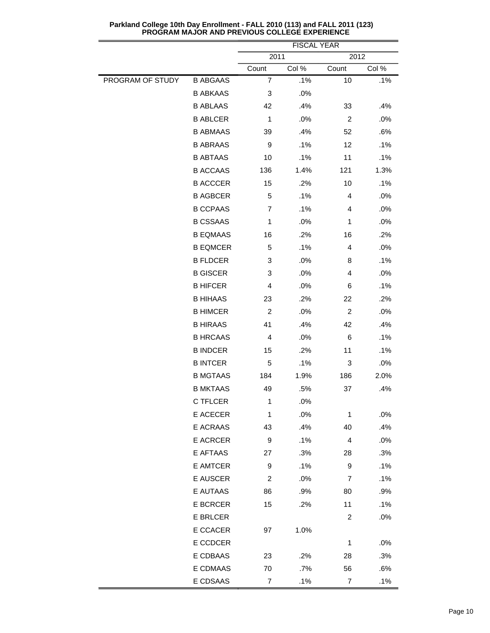|                  |                 | <b>FISCAL YEAR</b> |       |                |        |
|------------------|-----------------|--------------------|-------|----------------|--------|
|                  |                 | 2011<br>Count      | Col % | 2012<br>Count  | Col %  |
| PROGRAM OF STUDY | <b>B ABGAAS</b> | $\overline{7}$     | .1%   | 10             | .1%    |
|                  | <b>B ABKAAS</b> | 3                  | .0%   |                |        |
|                  | <b>B ABLAAS</b> | 42                 | .4%   | 33             | .4%    |
|                  | <b>B ABLCER</b> | 1                  | .0%   | $\overline{2}$ | .0%    |
|                  | <b>B ABMAAS</b> | 39                 | .4%   | 52             | .6%    |
|                  | <b>B ABRAAS</b> | 9                  | .1%   | 12             | .1%    |
|                  | <b>B ABTAAS</b> | 10                 | .1%   | 11             | .1%    |
|                  | <b>B ACCAAS</b> | 136                | 1.4%  | 121            | 1.3%   |
|                  | <b>B ACCCER</b> | 15                 | .2%   | 10             | $.1\%$ |
|                  | <b>B AGBCER</b> | 5                  | .1%   | 4              | .0%    |
|                  | <b>B CCPAAS</b> | $\overline{7}$     | .1%   | 4              | .0%    |
|                  | <b>B CSSAAS</b> | 1                  | .0%   | 1              | .0%    |
|                  | <b>B EQMAAS</b> | 16                 | .2%   | 16             | .2%    |
|                  | <b>B EQMCER</b> | 5                  | .1%   | 4              | .0%    |
|                  | <b>B FLDCER</b> | 3                  | .0%   | 8              | .1%    |
|                  | <b>B GISCER</b> | 3                  | .0%   | 4              | .0%    |
|                  | <b>B HIFCER</b> | 4                  | .0%   | 6              | $.1\%$ |
|                  | <b>B HIHAAS</b> | 23                 | .2%   | 22             | .2%    |
|                  | <b>B HIMCER</b> | $\overline{2}$     | .0%   | $\overline{2}$ | .0%    |
|                  | <b>B HIRAAS</b> | 41                 | .4%   | 42             | .4%    |
|                  | <b>B HRCAAS</b> | 4                  | .0%   | 6              | .1%    |
|                  | <b>B INDCER</b> | 15                 | .2%   | 11             | .1%    |
|                  | <b>B INTCER</b> | 5                  | .1%   | 3              | .0%    |
|                  | <b>B MGTAAS</b> | 184                | 1.9%  | 186            | 2.0%   |
|                  | <b>B MKTAAS</b> | 49                 | .5%   | 37             | .4%    |
|                  | <b>C TFLCER</b> | 1                  | .0%   |                |        |
|                  | E ACECER        | 1                  | .0%   | 1              | .0%    |
|                  | E ACRAAS        | 43                 | .4%   | 40             | .4%    |
|                  | E ACRCER        | 9                  | .1%   | $\overline{4}$ | .0%    |
|                  | E AFTAAS        | 27                 | .3%   | 28             | .3%    |
|                  | E AMTCER        | 9                  | .1%   | 9              | .1%    |
|                  | E AUSCER        | 2                  | .0%   | 7              | .1%    |
|                  | E AUTAAS        | 86                 | .9%   | 80             | .9%    |
|                  | <b>E BCRCER</b> | 15                 | .2%   | 11             | .1%    |
|                  | E BRLCER        |                    |       | $\overline{c}$ | .0%    |
|                  | E CCACER        | 97                 | 1.0%  |                |        |
|                  | E CCDCER        |                    |       | 1              | .0%    |
|                  | E CDBAAS        | 23                 | .2%   | 28             | .3%    |
|                  | E CDMAAS        | 70                 | .7%   | 56             | .6%    |
|                  | E CDSAAS        | $\overline{7}$     | .1%   | $\overline{7}$ | .1%    |

**Parkland College 10th Day Enrollment - FALL 2010 (113) and FALL 2011 (123) PROGRAM MAJOR AND PREVIOUS COLLEGE EXPERIENCE**

 $\overline{\phantom{a}}$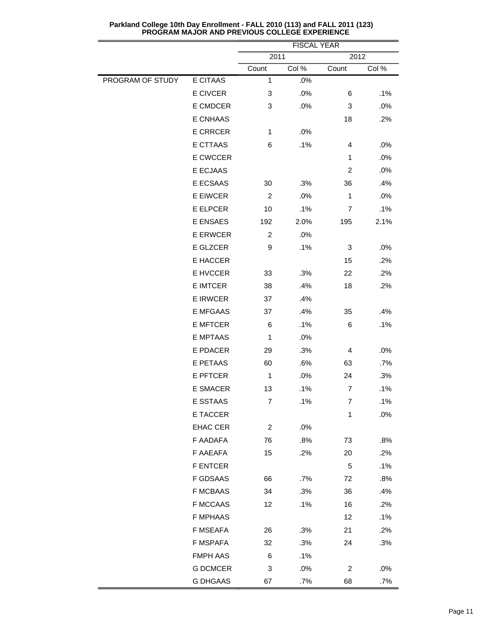|                  |                 | FISUAL YEAR<br>2011<br>2012 |       |                |       |
|------------------|-----------------|-----------------------------|-------|----------------|-------|
|                  |                 | Count                       | Col % | Count          | Col % |
| PROGRAM OF STUDY | E CITAAS        | 1                           | .0%   |                |       |
|                  | E CIVCER        | 3                           | .0%   | 6              | .1%   |
|                  | E CMDCER        | 3                           | .0%   | 3              | .0%   |
|                  | E CNHAAS        |                             |       | 18             | .2%   |
|                  | <b>E CRRCER</b> | $\mathbf{1}$                | .0%   |                |       |
|                  | <b>E CTTAAS</b> | 6                           | .1%   | 4              | .0%   |
|                  | E CWCCER        |                             |       | 1              | .0%   |
|                  | E ECJAAS        |                             |       | $\overline{c}$ | .0%   |
|                  | E ECSAAS        | 30                          | .3%   | 36             | .4%   |
|                  | E EIWCER        | 2                           | .0%   | $\mathbf{1}$   | .0%   |
|                  | <b>E ELPCER</b> | 10                          | .1%   | 7              | .1%   |
|                  | E ENSAES        | 192                         | 2.0%  | 195            | 2.1%  |
|                  | <b>E ERWCER</b> | $\overline{c}$              | .0%   |                |       |
|                  | E GLZCER        | 9                           | .1%   | 3              | .0%   |
|                  | E HACCER        |                             |       | 15             | .2%   |
|                  | E HVCCER        | 33                          | .3%   | 22             | .2%   |
|                  | E IMTCER        | 38                          | .4%   | 18             | .2%   |
|                  | <b>E IRWCER</b> | 37                          | .4%   |                |       |
|                  | <b>E MFGAAS</b> | 37                          | .4%   | 35             | .4%   |
|                  | <b>E MFTCER</b> | 6                           | .1%   | 6              | .1%   |
|                  | <b>E MPTAAS</b> | 1                           | .0%   |                |       |
|                  | E PDACER        | 29                          | .3%   | 4              | .0%   |
|                  | E PETAAS        | 60                          | .6%   | 63             | .7%   |
|                  | <b>E PFTCER</b> | 1                           | .0%   | 24             | .3%   |
|                  | E SMACER        | 13                          | .1%   | 7              | .1%   |
|                  | E SSTAAS        | 7                           | .1%   | 7              | .1%   |
|                  | E TACCER        |                             |       | 1              | .0%   |
|                  | <b>EHAC CER</b> | $\overline{c}$              | .0%   |                |       |
|                  | F AADAFA        | 76                          | .8%   | 73             | .8%   |
|                  | F AAEAFA        | 15                          | .2%   | 20             | .2%   |
|                  | <b>F ENTCER</b> |                             |       | $\mathbf 5$    | .1%   |
|                  | F GDSAAS        | 66                          | .7%   | 72             | .8%   |
|                  | <b>F MCBAAS</b> | 34                          | .3%   | 36             | .4%   |
|                  | <b>F MCCAAS</b> | 12                          | .1%   | 16             | .2%   |
|                  | <b>F MPHAAS</b> |                             |       | 12             | .1%   |
|                  | F MSEAFA        | 26                          | .3%   | 21             | .2%   |
|                  | F MSPAFA        | 32                          | .3%   | 24             | .3%   |
|                  | <b>FMPH AAS</b> | 6                           | .1%   |                |       |
|                  | <b>G DCMCER</b> | 3                           | .0%   | $\overline{c}$ | .0%   |
|                  | <b>G DHGAAS</b> | 67                          | .7%   | 68             | .7%   |

**Parkland College 10th Day Enrollment - FALL 2010 (113) and FALL 2011 (123) PROGRAM MAJOR AND PREVIOUS COLLEGE EXPERIENCE**

 $\overline{\phantom{a}}$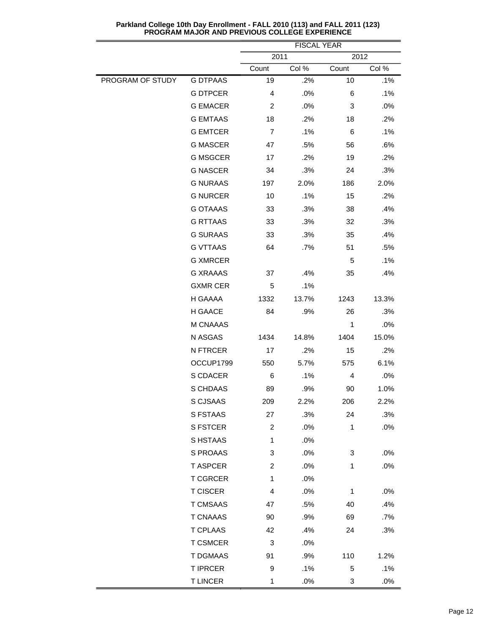|                  |                 | <b>FISCAL YEAR</b> |        |              |       |
|------------------|-----------------|--------------------|--------|--------------|-------|
|                  |                 | 2011               |        | 2012         |       |
|                  |                 | Count              | Col %  | Count        | Col % |
| PROGRAM OF STUDY | <b>G DTPAAS</b> | 19                 | .2%    | 10           | .1%   |
|                  | <b>G DTPCER</b> | $\overline{4}$     | .0%    | 6            | .1%   |
|                  | <b>G EMACER</b> | 2                  | .0%    | 3            | .0%   |
|                  | <b>G EMTAAS</b> | 18                 | .2%    | 18           | .2%   |
|                  | <b>G EMTCER</b> | 7                  | .1%    | 6            | .1%   |
|                  | <b>G MASCER</b> | 47                 | .5%    | 56           | .6%   |
|                  | <b>G MSGCER</b> | 17                 | .2%    | 19           | .2%   |
|                  | <b>G NASCER</b> | 34                 | .3%    | 24           | .3%   |
|                  | <b>G NURAAS</b> | 197                | 2.0%   | 186          | 2.0%  |
|                  | <b>G NURCER</b> | 10                 | .1%    | 15           | .2%   |
|                  | <b>G OTAAAS</b> | 33                 | .3%    | 38           | .4%   |
|                  | <b>G RTTAAS</b> | 33                 | .3%    | 32           | .3%   |
|                  | <b>G SURAAS</b> | 33                 | .3%    | 35           | .4%   |
|                  | <b>G VTTAAS</b> | 64                 | .7%    | 51           | .5%   |
|                  | <b>G XMRCER</b> |                    |        | 5            | .1%   |
|                  | <b>G XRAAAS</b> | 37                 | .4%    | 35           | .4%   |
|                  | <b>GXMR CER</b> | 5                  | .1%    |              |       |
|                  | H GAAAA         | 1332               | 13.7%  | 1243         | 13.3% |
|                  | H GAACE         | 84                 | .9%    | 26           | .3%   |
|                  | M CNAAAS        |                    |        | 1            | .0%   |
|                  | N ASGAS         | 1434               | 14.8%  | 1404         | 15.0% |
|                  | <b>N FTRCER</b> | 17                 | .2%    | 15           | .2%   |
|                  | OCCUP1799       | 550                | 5.7%   | 575          | 6.1%  |
|                  | S CDACER        | 6                  | .1%    | 4            | .0%   |
|                  | S CHDAAS        | 89                 | .9%    | 90           | 1.0%  |
|                  | S CJSAAS        | 209                | 2.2%   | 206          | 2.2%  |
|                  | S FSTAAS        | 27                 | .3%    | 24           | .3%   |
|                  | S FSTCER        | $\overline{c}$     | .0%    | 1            | .0%   |
|                  | S HSTAAS        | $\mathbf{1}$       | .0%    |              |       |
|                  | S PROAAS        | 3                  | .0%    | 3            | .0%   |
|                  | <b>T ASPCER</b> | $\overline{c}$     | .0%    | 1            | .0%   |
|                  | <b>T CGRCER</b> | $\mathbf{1}$       | .0%    |              |       |
|                  | <b>T CISCER</b> | 4                  | .0%    | $\mathbf{1}$ | .0%   |
|                  | <b>T CMSAAS</b> | 47                 | .5%    | 40           | .4%   |
|                  | <b>T CNAAAS</b> | 90                 | .9%    | 69           | .7%   |
|                  | T CPLAAS        | 42                 | .4%    | 24           | .3%   |
|                  | <b>T CSMCER</b> | 3                  | .0%    |              |       |
|                  | <b>T DGMAAS</b> | 91                 | .9%    | 110          | 1.2%  |
|                  | <b>T IPRCER</b> | 9                  | .1%    | 5            | .1%   |
|                  | <b>T LINCER</b> | $\mathbf 1$        | $.0\%$ | 3            | .0%   |

**Parkland College 10th Day Enrollment - FALL 2010 (113) and FALL 2011 (123) PROGRAM MAJOR AND PREVIOUS COLLEGE EXPERIENCE**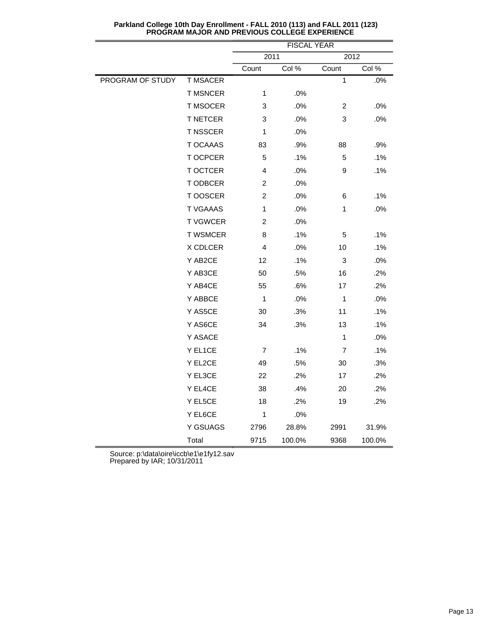|                  |                 | <b>FISCAL YEAR</b> |        |                  |        |
|------------------|-----------------|--------------------|--------|------------------|--------|
|                  |                 | 2011               |        | 2012             |        |
|                  |                 | Count              | Col %  | Count            | Col %  |
| PROGRAM OF STUDY | <b>T MSACER</b> |                    |        | 1                | .0%    |
|                  | <b>T MSNCER</b> | 1                  | .0%    |                  |        |
|                  | <b>T MSOCER</b> | 3                  | .0%    | $\overline{c}$   | .0%    |
|                  | <b>T NETCER</b> | 3                  | .0%    | $\sqrt{3}$       | .0%    |
|                  | T NSSCER        | 1                  | .0%    |                  |        |
|                  | T OCAAAS        | 83                 | .9%    | 88               | .9%    |
|                  | T OCPCER        | 5                  | .1%    | 5                | .1%    |
|                  | T OCTCER        | 4                  | .0%    | $\boldsymbol{9}$ | .1%    |
|                  | T ODBCER        | $\overline{c}$     | .0%    |                  |        |
|                  | T OOSCER        | $\overline{c}$     | .0%    | 6                | .1%    |
|                  | <b>T VGAAAS</b> | 1                  | .0%    | 1                | .0%    |
|                  | <b>TVGWCER</b>  | $\overline{c}$     | .0%    |                  |        |
|                  | <b>T WSMCER</b> | 8                  | .1%    | 5                | .1%    |
|                  | X CDLCER        | 4                  | .0%    | 10               | .1%    |
|                  | Y AB2CE         | 12                 | .1%    | $\sqrt{3}$       | .0%    |
|                  | Y AB3CE         | 50                 | .5%    | 16               | .2%    |
|                  | Y AB4CE         | 55                 | .6%    | 17               | .2%    |
|                  | Y ABBCE         | 1                  | .0%    | $\mathbf{1}$     | .0%    |
|                  | Y AS5CE         | 30                 | .3%    | 11               | .1%    |
|                  | Y AS6CE         | 34                 | .3%    | 13               | .1%    |
|                  | Y ASACE         |                    |        | 1                | .0%    |
|                  | Y EL1CE         | 7                  | .1%    | 7                | .1%    |
|                  | Y EL2CE         | 49                 | .5%    | 30               | .3%    |
|                  | Y EL3CE         | 22                 | .2%    | 17               | .2%    |
|                  | Y EL4CE         | 38                 | .4%    | 20               | .2%    |
|                  | Y EL5CE         | 18                 | .2%    | 19               | .2%    |
|                  | Y EL6CE         | 1                  | .0%    |                  |        |
|                  | Y GSUAGS        | 2796               | 28.8%  | 2991             | 31.9%  |
|                  | Total           | 9715               | 100.0% | 9368             | 100.0% |

**Parkland College 10th Day Enrollment - FALL 2010 (113) and FALL 2011 (123) PROGRAM MAJOR AND PREVIOUS COLLEGE EXPERIENCE**

Source: p:\data\oire\iccb\e1\e1fy12.sav

Prepared by IAR; 10/31/2011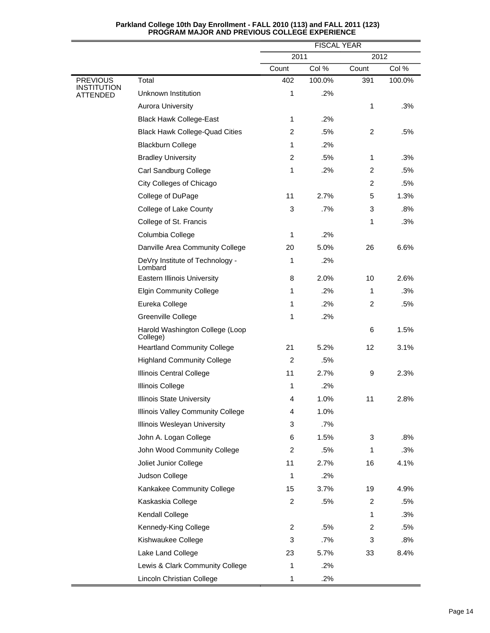|                                |                                             |                | <b>FISCAL YEAR</b> |                |        |  |
|--------------------------------|---------------------------------------------|----------------|--------------------|----------------|--------|--|
|                                |                                             | 2011           |                    | 2012           |        |  |
|                                |                                             | Count          | Col %              | Count          | Col %  |  |
| <b>PREVIOUS</b><br>INSTITUTION | Total                                       | 402            | 100.0%             | 391            | 100.0% |  |
| ATTENDED                       | Unknown Institution                         | 1              | .2%                |                |        |  |
|                                | <b>Aurora University</b>                    |                |                    | 1              | .3%    |  |
|                                | <b>Black Hawk College-East</b>              | 1              | .2%                |                |        |  |
|                                | <b>Black Hawk College-Quad Cities</b>       | $\overline{2}$ | .5%                | 2              | .5%    |  |
|                                | <b>Blackburn College</b>                    | 1              | .2%                |                |        |  |
|                                | <b>Bradley University</b>                   | $\overline{c}$ | .5%                | 1              | .3%    |  |
|                                | Carl Sandburg College                       | 1              | .2%                | 2              | .5%    |  |
|                                | City Colleges of Chicago                    |                |                    | $\overline{c}$ | .5%    |  |
|                                | College of DuPage                           | 11             | 2.7%               | 5              | 1.3%   |  |
|                                | College of Lake County                      | 3              | .7%                | 3              | .8%    |  |
|                                | College of St. Francis                      |                |                    | 1              | .3%    |  |
|                                | Columbia College                            | 1              | .2%                |                |        |  |
|                                | Danville Area Community College             | 20             | 5.0%               | 26             | 6.6%   |  |
|                                | DeVry Institute of Technology -<br>Lombard  | 1              | .2%                |                |        |  |
|                                | Eastern Illinois University                 | 8              | 2.0%               | 10             | 2.6%   |  |
|                                | <b>Elgin Community College</b>              | 1              | .2%                | 1              | .3%    |  |
|                                | Eureka College                              | 1              | .2%                | 2              | .5%    |  |
|                                | Greenville College                          | 1              | .2%                |                |        |  |
|                                | Harold Washington College (Loop<br>College) |                |                    | 6              | 1.5%   |  |
|                                | <b>Heartland Community College</b>          | 21             | 5.2%               | 12             | 3.1%   |  |
|                                | <b>Highland Community College</b>           | $\overline{c}$ | .5%                |                |        |  |
|                                | Illinois Central College                    | 11             | 2.7%               | 9              | 2.3%   |  |
|                                | Illinois College                            | 1              | .2%                |                |        |  |
|                                | Illinois State University                   | 4              | 1.0%               | 11             | 2.8%   |  |
|                                | Illinois Valley Community College           | 4              | 1.0%               |                |        |  |
|                                | Illinois Wesleyan University                | 3              | .7%                |                |        |  |
|                                | John A. Logan College                       | 6              | 1.5%               | 3              | .8%    |  |
|                                | John Wood Community College                 | 2              | .5%                | 1              | .3%    |  |
|                                | Joliet Junior College                       | 11             | 2.7%               | 16             | 4.1%   |  |
|                                | Judson College                              | 1              | .2%                |                |        |  |
|                                | Kankakee Community College                  | 15             | 3.7%               | 19             | 4.9%   |  |
|                                | Kaskaskia College                           | 2              | .5%                | $\overline{2}$ | .5%    |  |
|                                | Kendall College                             |                |                    | 1              | .3%    |  |
|                                | Kennedy-King College                        | 2              | .5%                | $\overline{c}$ | .5%    |  |
|                                | Kishwaukee College                          | 3              | .7%                | 3              | .8%    |  |
|                                | Lake Land College                           | 23             | 5.7%               | 33             | 8.4%   |  |
|                                | Lewis & Clark Community College             | 1              | .2%                |                |        |  |
|                                | Lincoln Christian College                   | 1              | .2%                |                |        |  |

## **Parkland College 10th Day Enrollment - FALL 2010 (113) and FALL 2011 (123) PROGRAM MAJOR AND PREVIOUS COLLEGE EXPERIENCE**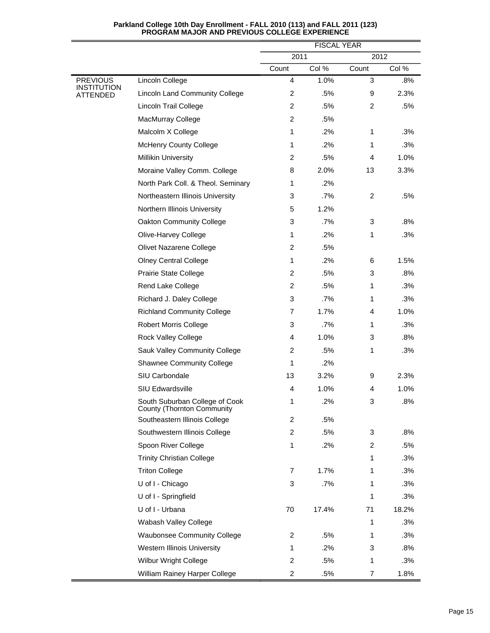|                                          |                                                              |                | <b>FISCAL YEAR</b> |              |       |
|------------------------------------------|--------------------------------------------------------------|----------------|--------------------|--------------|-------|
|                                          |                                                              | 2011           |                    | 2012         |       |
|                                          |                                                              | Count          | Col %              | Count        | Col % |
| <b>PREVIOUS</b><br>INSTITUTION<br>TENDED | Lincoln College                                              | $\overline{4}$ | 1.0%               | 3            | .8%   |
|                                          | <b>Lincoln Land Community College</b>                        | $\overline{2}$ | .5%                | 9            | 2.3%  |
|                                          | Lincoln Trail College                                        | $\overline{2}$ | .5%                | 2            | .5%   |
|                                          | MacMurray College                                            | $\overline{2}$ | .5%                |              |       |
|                                          | Malcolm X College                                            | 1              | .2%                | $\mathbf{1}$ | .3%   |
|                                          | <b>McHenry County College</b>                                | 1              | $.2\%$             | 1            | .3%   |
|                                          | <b>Millikin University</b>                                   | $\overline{2}$ | .5%                | 4            | 1.0%  |
|                                          | Moraine Valley Comm. College                                 | 8              | 2.0%               | 13           | 3.3%  |
|                                          | North Park Coll. & Theol. Seminary                           | 1              | $.2\%$             |              |       |
|                                          | Northeastern Illinois University                             | 3              | .7%                | 2            | .5%   |
|                                          | Northern Illinois University                                 | 5              | 1.2%               |              |       |
|                                          | Oakton Community College                                     | 3              | .7%                | 3            | .8%   |
|                                          | Olive-Harvey College                                         | 1              | .2%                | 1            | .3%   |
|                                          | Olivet Nazarene College                                      | $\overline{2}$ | .5%                |              |       |
|                                          | <b>Olney Central College</b>                                 | $\mathbf{1}$   | .2%                | 6            | 1.5%  |
|                                          | Prairie State College                                        | $\overline{2}$ | .5%                | 3            | .8%   |
|                                          | Rend Lake College                                            | 2              | .5%                | 1            | .3%   |
|                                          | Richard J. Daley College                                     | 3              | .7%                | 1            | .3%   |
|                                          | <b>Richland Community College</b>                            | 7              | 1.7%               | 4            | 1.0%  |
|                                          | <b>Robert Morris College</b>                                 | 3              | $.7\%$             | 1            | .3%   |
|                                          | Rock Valley College                                          | 4              | 1.0%               | 3            | .8%   |
|                                          | Sauk Valley Community College                                | $\overline{2}$ | .5%                | 1            | .3%   |
|                                          | <b>Shawnee Community College</b>                             | 1              | $.2\%$             |              |       |
|                                          | SIU Carbondale                                               | 13             | 3.2%               | 9            | 2.3%  |
|                                          | <b>SIU Edwardsville</b>                                      | 4              | 1.0%               | 4            | 1.0%  |
|                                          | South Suburban College of Cook<br>County (Thornton Community | 1              | .2%                | 3            | .8%   |
|                                          | Southeastern Illinois College                                | $\overline{2}$ | .5%                |              |       |
|                                          | Southwestern Illinois College                                | $\overline{2}$ | .5%                | 3            | .8%   |
|                                          | Spoon River College                                          | 1              | .2%                | 2            | .5%   |
|                                          | <b>Trinity Christian College</b>                             |                |                    | 1            | .3%   |
|                                          | <b>Triton College</b>                                        | 7              | 1.7%               | 1            | .3%   |
|                                          | U of I - Chicago                                             | 3              | .7%                | 1            | .3%   |
|                                          | U of I - Springfield                                         |                |                    | 1            | .3%   |
|                                          | U of I - Urbana                                              | 70             | 17.4%              | 71           | 18.2% |
|                                          | Wabash Valley College                                        |                |                    | 1            | .3%   |
|                                          | <b>Waubonsee Community College</b>                           | 2              | $.5\%$             | 1            | .3%   |
|                                          | Western Illinois University                                  | 1              | $.2\%$             | 3            | .8%   |
|                                          | Wilbur Wright College                                        | $\overline{2}$ | .5%                | 1            | .3%   |
|                                          | William Rainey Harper College                                | 2              | .5%                | 7            | 1.8%  |

# **Parkland College 10th Day Enrollment - FALL 2010 (113) and FALL 2011 (123) PROGRAM MAJOR AND PREVIOUS COLLEGE EXPERIENCE**